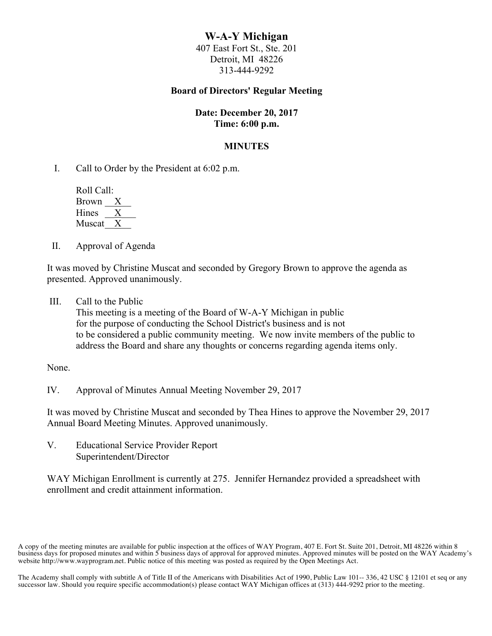# **W-A-Y Michigan**

407 East Fort St., Ste. 201 Detroit, MI 48226 313-444-9292

## **Board of Directors' Regular Meeting**

## **Date: December 20, 2017 Time: 6:00 p.m.**

## **MINUTES**

I. Call to Order by the President at 6:02 p.m.

 Roll Call: Brown  $\frac{X}{X}$ Hines Muscat<sub>X</sub>

II. Approval of Agenda

It was moved by Christine Muscat and seconded by Gregory Brown to approve the agenda as presented. Approved unanimously.

III. Call to the Public

This meeting is a meeting of the Board of W-A-Y Michigan in public for the purpose of conducting the School District's business and is not to be considered a public community meeting. We now invite members of the public to address the Board and share any thoughts or concerns regarding agenda items only.

None.

IV. Approval of Minutes Annual Meeting November 29, 2017

It was moved by Christine Muscat and seconded by Thea Hines to approve the November 29, 2017 Annual Board Meeting Minutes. Approved unanimously.

V. Educational Service Provider Report Superintendent/Director

WAY Michigan Enrollment is currently at 275. Jennifer Hernandez provided a spreadsheet with enrollment and credit attainment information.

A copy of the meeting minutes are available for public inspection at the offices of WAY Program, 407 E. Fort St. Suite 201, Detroit, MI 48226 within 8 business days for proposed minutes and within 5 business days of approval for approved minutes. Approved minutes will be posted on the WAY Academy's website http://www.wayprogram.net. Public notice of this meeting was posted as required by the Open Meetings Act.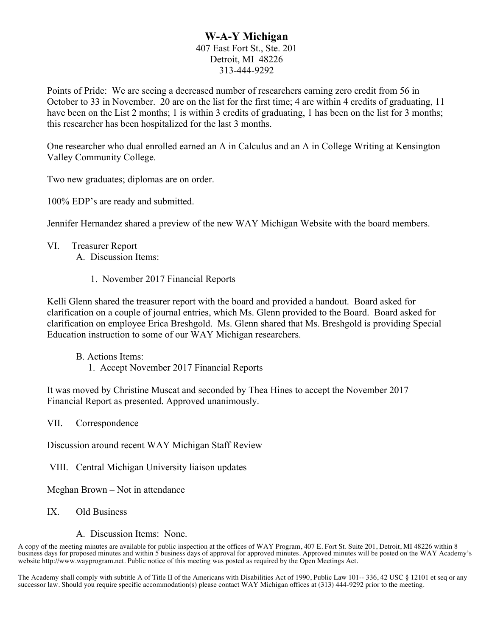# **W-A-Y Michigan** 407 East Fort St., Ste. 201 Detroit, MI 48226

# 313-444-9292

Points of Pride: We are seeing a decreased number of researchers earning zero credit from 56 in October to 33 in November. 20 are on the list for the first time; 4 are within 4 credits of graduating, 11 have been on the List 2 months; 1 is within 3 credits of graduating, 1 has been on the list for 3 months; this researcher has been hospitalized for the last 3 months.

One researcher who dual enrolled earned an A in Calculus and an A in College Writing at Kensington Valley Community College.

Two new graduates; diplomas are on order.

100% EDP's are ready and submitted.

Jennifer Hernandez shared a preview of the new WAY Michigan Website with the board members.

VI. Treasurer Report

A. Discussion Items:

1. November 2017 Financial Reports

Kelli Glenn shared the treasurer report with the board and provided a handout. Board asked for clarification on a couple of journal entries, which Ms. Glenn provided to the Board. Board asked for clarification on employee Erica Breshgold. Ms. Glenn shared that Ms. Breshgold is providing Special Education instruction to some of our WAY Michigan researchers.

B. Actions Items:

1. Accept November 2017 Financial Reports

It was moved by Christine Muscat and seconded by Thea Hines to accept the November 2017 Financial Report as presented. Approved unanimously.

VII. Correspondence

Discussion around recent WAY Michigan Staff Review

VIII. Central Michigan University liaison updates

Meghan Brown – Not in attendance

IX. Old Business

A. Discussion Items: None.

A copy of the meeting minutes are available for public inspection at the offices of WAY Program, 407 E. Fort St. Suite 201, Detroit, MI 48226 within 8 business days for proposed minutes and within 5 business days of approval for approved minutes. Approved minutes will be posted on the WAY Academy's website http://www.wayprogram.net. Public notice of this meeting was posted as required by the Open Meetings Act.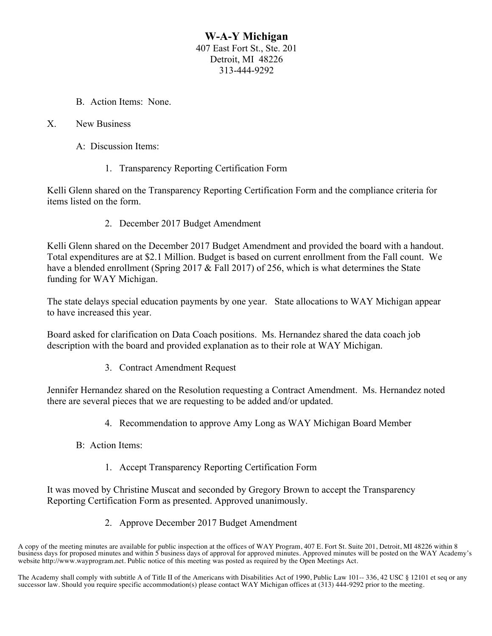## **W-A-Y Michigan** 407 East Fort St., Ste. 201 Detroit, MI 48226 313-444-9292

B. Action Items: None.

## X. New Business

- A: Discussion Items:
	- 1. Transparency Reporting Certification Form

Kelli Glenn shared on the Transparency Reporting Certification Form and the compliance criteria for items listed on the form.

2. December 2017 Budget Amendment

Kelli Glenn shared on the December 2017 Budget Amendment and provided the board with a handout. Total expenditures are at \$2.1 Million. Budget is based on current enrollment from the Fall count. We have a blended enrollment (Spring 2017 & Fall 2017) of 256, which is what determines the State funding for WAY Michigan.

The state delays special education payments by one year. State allocations to WAY Michigan appear to have increased this year.

Board asked for clarification on Data Coach positions. Ms. Hernandez shared the data coach job description with the board and provided explanation as to their role at WAY Michigan.

3. Contract Amendment Request

Jennifer Hernandez shared on the Resolution requesting a Contract Amendment. Ms. Hernandez noted there are several pieces that we are requesting to be added and/or updated.

- 4. Recommendation to approve Amy Long as WAY Michigan Board Member
- B: Action Items:
	- 1. Accept Transparency Reporting Certification Form

It was moved by Christine Muscat and seconded by Gregory Brown to accept the Transparency Reporting Certification Form as presented. Approved unanimously.

2. Approve December 2017 Budget Amendment

A copy of the meeting minutes are available for public inspection at the offices of WAY Program, 407 E. Fort St. Suite 201, Detroit, MI 48226 within 8 business days for proposed minutes and within 5 business days of approval for approved minutes. Approved minutes will be posted on the WAY Academy's website http://www.wayprogram.net. Public notice of this meeting was posted as required by the Open Meetings Act.